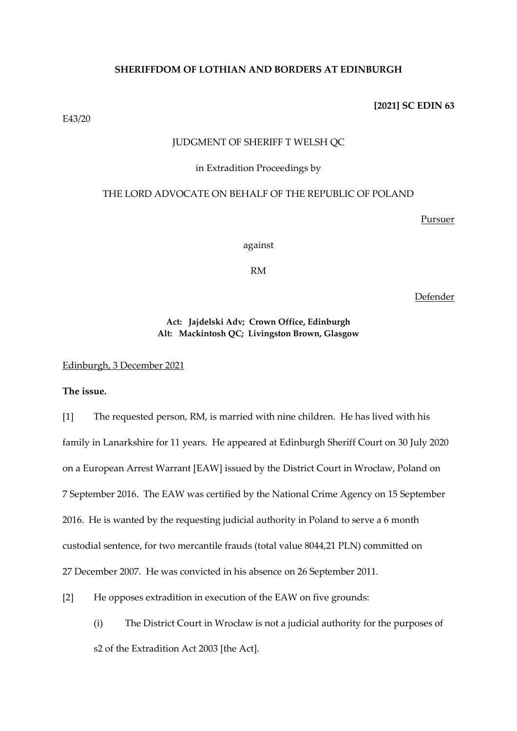## **SHERIFFDOM OF LOTHIAN AND BORDERS AT EDINBURGH**

**[2021] SC EDIN 63**

E43/20

## JUDGMENT OF SHERIFF T WELSH QC

#### in Extradition Proceedings by

#### THE LORD ADVOCATE ON BEHALF OF THE REPUBLIC OF POLAND

Pursuer

against

RM

Defender

**Act: Jajdelski Adv; Crown Office, Edinburgh Alt: Mackintosh QC; Livingston Brown, Glasgow**

Edinburgh, 3 December 2021

**The issue.**

[1] The requested person, RM, is married with nine children. He has lived with his family in Lanarkshire for 11 years. He appeared at Edinburgh Sheriff Court on 30 July 2020 on a European Arrest Warrant [EAW] issued by the District Court in Wrocław, Poland on 7 September 2016. The EAW was certified by the National Crime Agency on 15 September 2016. He is wanted by the requesting judicial authority in Poland to serve a 6 month custodial sentence, for two mercantile frauds (total value 8044,21 PLN) committed on 27 December 2007. He was convicted in his absence on 26 September 2011.

[2] He opposes extradition in execution of the EAW on five grounds:

(i) The District Court in Wrocław is not a judicial authority for the purposes of s2 of the Extradition Act 2003 [the Act].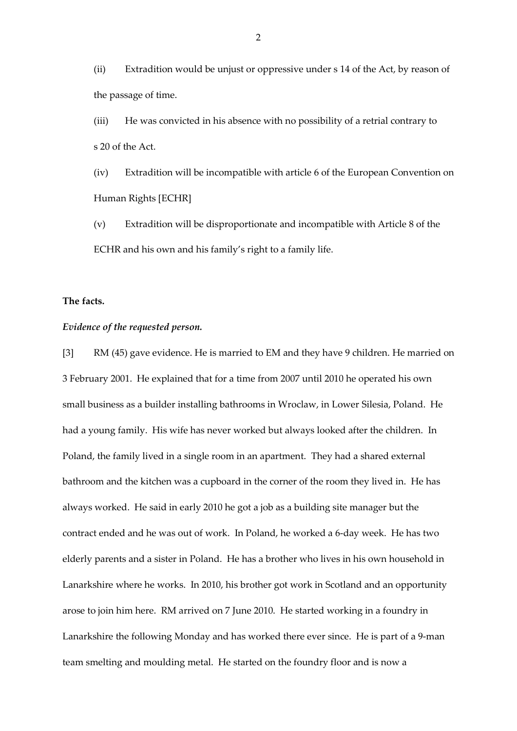(ii) Extradition would be unjust or oppressive under s 14 of the Act, by reason of the passage of time.

(iii) He was convicted in his absence with no possibility of a retrial contrary to s 20 of the Act.

(iv) Extradition will be incompatible with article 6 of the European Convention on Human Rights [ECHR]

(v) Extradition will be disproportionate and incompatible with Article 8 of the ECHR and his own and his family's right to a family life.

## **The facts.**

## *Evidence of the requested person.*

[3] RM (45) gave evidence. He is married to EM and they have 9 children. He married on 3 February 2001. He explained that for a time from 2007 until 2010 he operated his own small business as a builder installing bathrooms in Wroclaw, in Lower Silesia, Poland. He had a young family. His wife has never worked but always looked after the children. In Poland, the family lived in a single room in an apartment. They had a shared external bathroom and the kitchen was a cupboard in the corner of the room they lived in. He has always worked. He said in early 2010 he got a job as a building site manager but the contract ended and he was out of work. In Poland, he worked a 6-day week. He has two elderly parents and a sister in Poland. He has a brother who lives in his own household in Lanarkshire where he works. In 2010, his brother got work in Scotland and an opportunity arose to join him here. RM arrived on 7 June 2010. He started working in a foundry in Lanarkshire the following Monday and has worked there ever since. He is part of a 9-man team smelting and moulding metal. He started on the foundry floor and is now a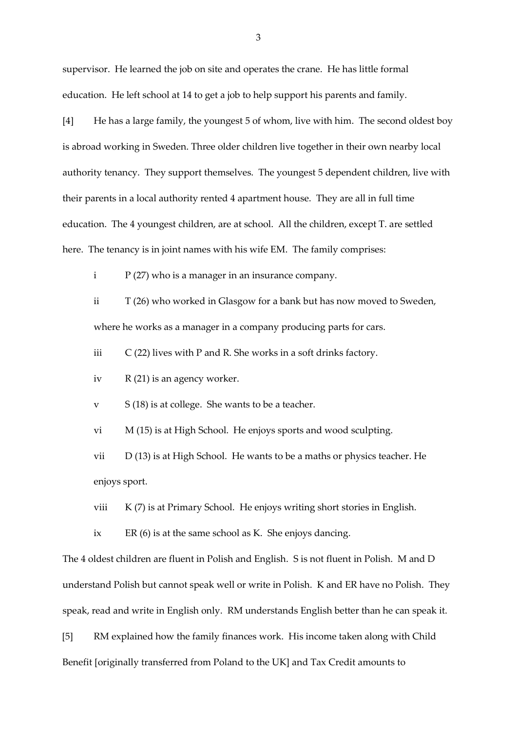supervisor. He learned the job on site and operates the crane. He has little formal education. He left school at 14 to get a job to help support his parents and family.

[4] He has a large family, the youngest 5 of whom, live with him. The second oldest boy is abroad working in Sweden. Three older children live together in their own nearby local authority tenancy. They support themselves. The youngest 5 dependent children, live with their parents in a local authority rented 4 apartment house. They are all in full time education. The 4 youngest children, are at school. All the children, except T. are settled here. The tenancy is in joint names with his wife EM. The family comprises:

 $P(27)$  who is a manager in an insurance company.

ii T (26) who worked in Glasgow for a bank but has now moved to Sweden, where he works as a manager in a company producing parts for cars.

iii  $C(22)$  lives with P and R. She works in a soft drinks factory.

iv  $R(21)$  is an agency worker.

 $v$  S (18) is at college. She wants to be a teacher.

vi M (15) is at High School. He enjoys sports and wood sculpting.

vii D (13) is at High School. He wants to be a maths or physics teacher. He enjoys sport.

viii K (7) is at Primary School. He enjoys writing short stories in English.

ix ER (6) is at the same school as K. She enjoys dancing.

The 4 oldest children are fluent in Polish and English. S is not fluent in Polish. M and D understand Polish but cannot speak well or write in Polish. K and ER have no Polish. They speak, read and write in English only. RM understands English better than he can speak it.

[5] RM explained how the family finances work. His income taken along with Child Benefit [originally transferred from Poland to the UK] and Tax Credit amounts to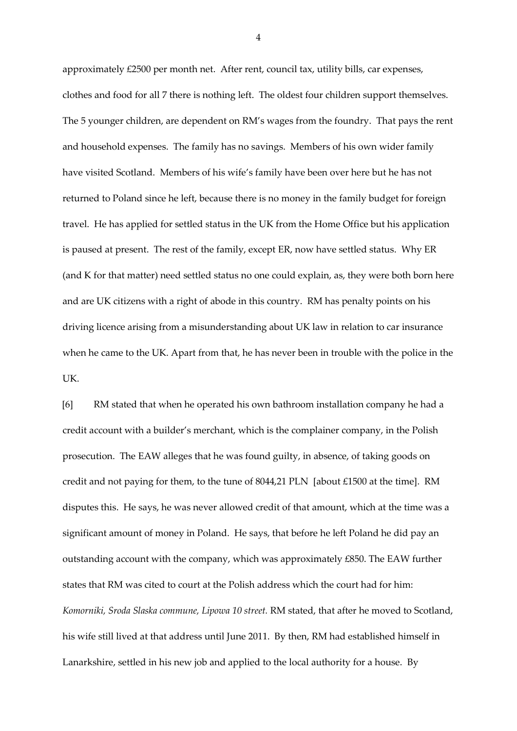approximately £2500 per month net. After rent, council tax, utility bills, car expenses, clothes and food for all 7 there is nothing left. The oldest four children support themselves. The 5 younger children, are dependent on RM's wages from the foundry. That pays the rent and household expenses. The family has no savings. Members of his own wider family have visited Scotland. Members of his wife's family have been over here but he has not returned to Poland since he left, because there is no money in the family budget for foreign travel. He has applied for settled status in the UK from the Home Office but his application is paused at present. The rest of the family, except ER, now have settled status. Why ER (and K for that matter) need settled status no one could explain, as, they were both born here and are UK citizens with a right of abode in this country. RM has penalty points on his driving licence arising from a misunderstanding about UK law in relation to car insurance when he came to the UK. Apart from that, he has never been in trouble with the police in the UK.

[6] RM stated that when he operated his own bathroom installation company he had a credit account with a builder's merchant, which is the complainer company, in the Polish prosecution. The EAW alleges that he was found guilty, in absence, of taking goods on credit and not paying for them, to the tune of 8044,21 PLN [about £1500 at the time]. RM disputes this. He says, he was never allowed credit of that amount, which at the time was a significant amount of money in Poland. He says, that before he left Poland he did pay an outstanding account with the company, which was approximately £850. The EAW further states that RM was cited to court at the Polish address which the court had for him: *Komorniki, Sroda Slaska commune, Lipowa 10 street.* RM stated, that after he moved to Scotland, his wife still lived at that address until June 2011. By then, RM had established himself in Lanarkshire, settled in his new job and applied to the local authority for a house. By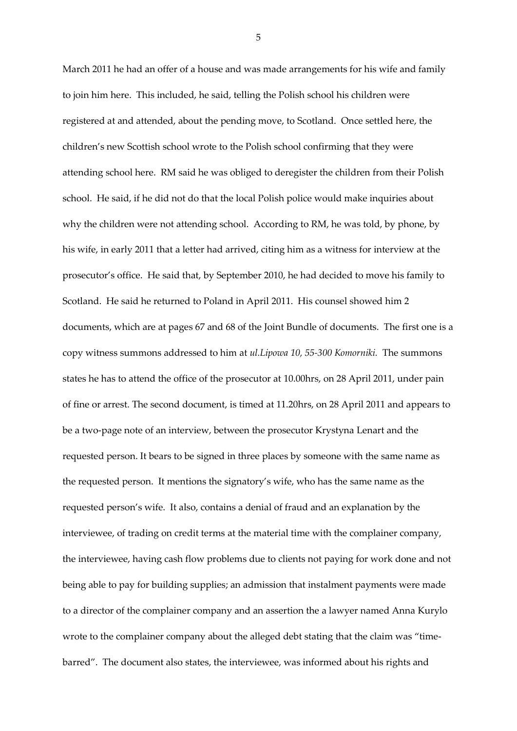March 2011 he had an offer of a house and was made arrangements for his wife and family to join him here. This included, he said, telling the Polish school his children were registered at and attended, about the pending move, to Scotland. Once settled here, the children's new Scottish school wrote to the Polish school confirming that they were attending school here. RM said he was obliged to deregister the children from their Polish school. He said, if he did not do that the local Polish police would make inquiries about why the children were not attending school. According to RM, he was told, by phone, by his wife, in early 2011 that a letter had arrived, citing him as a witness for interview at the prosecutor's office. He said that, by September 2010, he had decided to move his family to Scotland. He said he returned to Poland in April 2011. His counsel showed him 2 documents, which are at pages 67 and 68 of the Joint Bundle of documents. The first one is a copy witness summons addressed to him at *ul.Lipowa 10, 55-300 Komorniki.* The summons states he has to attend the office of the prosecutor at 10.00hrs, on 28 April 2011, under pain of fine or arrest. The second document, is timed at 11.20hrs, on 28 April 2011 and appears to be a two-page note of an interview, between the prosecutor Krystyna Lenart and the requested person. It bears to be signed in three places by someone with the same name as the requested person. It mentions the signatory's wife, who has the same name as the requested person's wife. It also, contains a denial of fraud and an explanation by the interviewee, of trading on credit terms at the material time with the complainer company, the interviewee, having cash flow problems due to clients not paying for work done and not being able to pay for building supplies; an admission that instalment payments were made to a director of the complainer company and an assertion the a lawyer named Anna Kurylo wrote to the complainer company about the alleged debt stating that the claim was "timebarred". The document also states, the interviewee, was informed about his rights and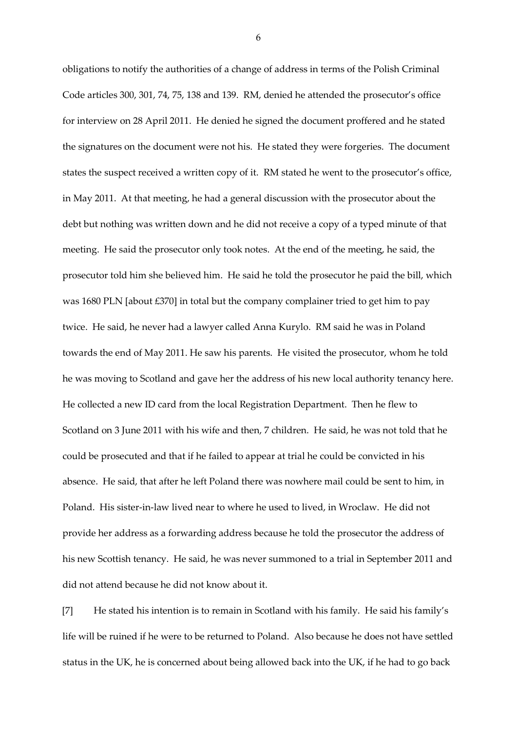obligations to notify the authorities of a change of address in terms of the Polish Criminal Code articles 300, 301, 74, 75, 138 and 139. RM, denied he attended the prosecutor's office for interview on 28 April 2011. He denied he signed the document proffered and he stated the signatures on the document were not his. He stated they were forgeries. The document states the suspect received a written copy of it. RM stated he went to the prosecutor's office, in May 2011. At that meeting, he had a general discussion with the prosecutor about the debt but nothing was written down and he did not receive a copy of a typed minute of that meeting. He said the prosecutor only took notes. At the end of the meeting, he said, the prosecutor told him she believed him. He said he told the prosecutor he paid the bill, which was 1680 PLN [about £370] in total but the company complainer tried to get him to pay twice. He said, he never had a lawyer called Anna Kurylo. RM said he was in Poland towards the end of May 2011. He saw his parents. He visited the prosecutor, whom he told he was moving to Scotland and gave her the address of his new local authority tenancy here. He collected a new ID card from the local Registration Department. Then he flew to Scotland on 3 June 2011 with his wife and then, 7 children. He said, he was not told that he could be prosecuted and that if he failed to appear at trial he could be convicted in his absence. He said, that after he left Poland there was nowhere mail could be sent to him, in Poland. His sister-in-law lived near to where he used to lived, in Wroclaw. He did not provide her address as a forwarding address because he told the prosecutor the address of his new Scottish tenancy. He said, he was never summoned to a trial in September 2011 and did not attend because he did not know about it.

[7] He stated his intention is to remain in Scotland with his family. He said his family's life will be ruined if he were to be returned to Poland. Also because he does not have settled status in the UK, he is concerned about being allowed back into the UK, if he had to go back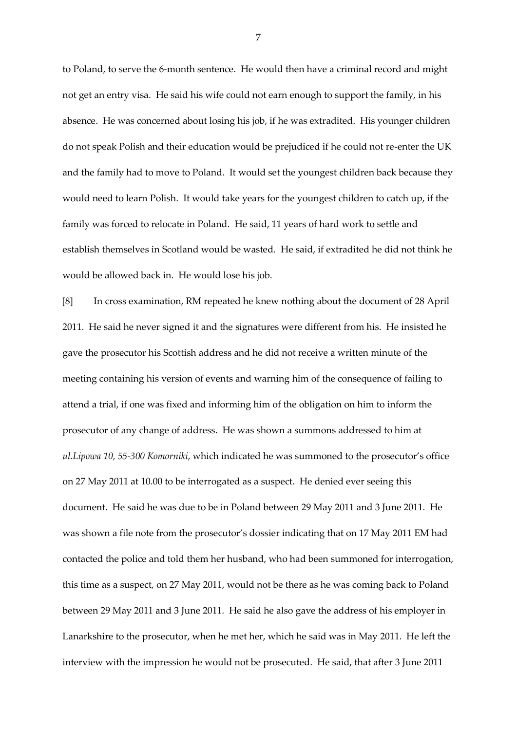to Poland, to serve the 6-month sentence. He would then have a criminal record and might not get an entry visa. He said his wife could not earn enough to support the family, in his absence. He was concerned about losing his job, if he was extradited. His younger children do not speak Polish and their education would be prejudiced if he could not re-enter the UK and the family had to move to Poland. It would set the youngest children back because they would need to learn Polish. It would take years for the youngest children to catch up, if the family was forced to relocate in Poland. He said, 11 years of hard work to settle and establish themselves in Scotland would be wasted. He said, if extradited he did not think he would be allowed back in. He would lose his job.

[8] In cross examination, RM repeated he knew nothing about the document of 28 April 2011. He said he never signed it and the signatures were different from his. He insisted he gave the prosecutor his Scottish address and he did not receive a written minute of the meeting containing his version of events and warning him of the consequence of failing to attend a trial, if one was fixed and informing him of the obligation on him to inform the prosecutor of any change of address. He was shown a summons addressed to him at *ul.Lipowa 10, 55-300 Komorniki*, which indicated he was summoned to the prosecutor's office on 27 May 2011 at 10.00 to be interrogated as a suspect. He denied ever seeing this document. He said he was due to be in Poland between 29 May 2011 and 3 June 2011. He was shown a file note from the prosecutor's dossier indicating that on 17 May 2011 EM had contacted the police and told them her husband, who had been summoned for interrogation, this time as a suspect, on 27 May 2011, would not be there as he was coming back to Poland between 29 May 2011 and 3 June 2011. He said he also gave the address of his employer in Lanarkshire to the prosecutor, when he met her, which he said was in May 2011. He left the interview with the impression he would not be prosecuted. He said, that after 3 June 2011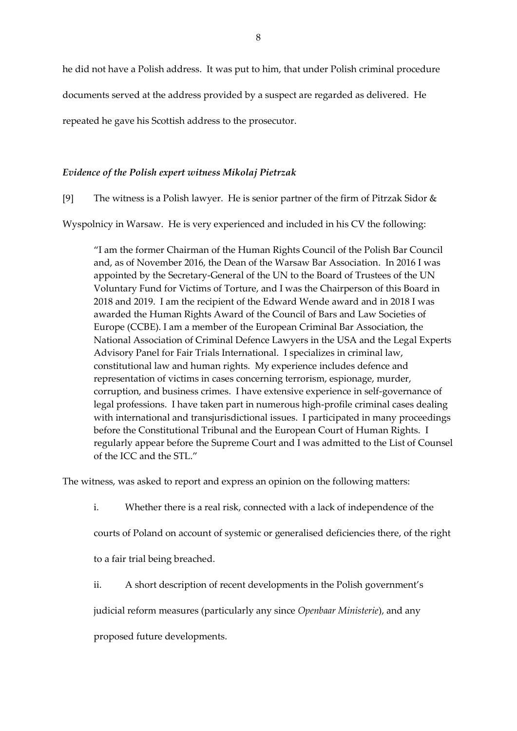he did not have a Polish address. It was put to him, that under Polish criminal procedure

documents served at the address provided by a suspect are regarded as delivered. He

repeated he gave his Scottish address to the prosecutor.

## *Evidence of the Polish expert witness Mikolaj Pietrzak*

[9] The witness is a Polish lawyer. He is senior partner of the firm of Pitrzak Sidor  $\&$ 

Wyspolnicy in Warsaw. He is very experienced and included in his CV the following:

"I am the former Chairman of the Human Rights Council of the Polish Bar Council and, as of November 2016, the Dean of the Warsaw Bar Association. In 2016 I was appointed by the Secretary-General of the UN to the Board of Trustees of the UN Voluntary Fund for Victims of Torture, and I was the Chairperson of this Board in 2018 and 2019. I am the recipient of the Edward Wende award and in 2018 I was awarded the Human Rights Award of the Council of Bars and Law Societies of Europe (CCBE). I am a member of the European Criminal Bar Association, the National Association of Criminal Defence Lawyers in the USA and the Legal Experts Advisory Panel for Fair Trials International. I specializes in criminal law, constitutional law and human rights. My experience includes defence and representation of victims in cases concerning terrorism, espionage, murder, corruption, and business crimes. I have extensive experience in self-governance of legal professions. I have taken part in numerous high-profile criminal cases dealing with international and transjurisdictional issues. I participated in many proceedings before the Constitutional Tribunal and the European Court of Human Rights. I regularly appear before the Supreme Court and I was admitted to the List of Counsel of the ICC and the STL."

The witness, was asked to report and express an opinion on the following matters:

i. Whether there is a real risk, connected with a lack of independence of the

courts of Poland on account of systemic or generalised deficiencies there, of the right

to a fair trial being breached.

ii. A short description of recent developments in the Polish government's

judicial reform measures (particularly any since *Openbaar Ministerie*), and any

proposed future developments.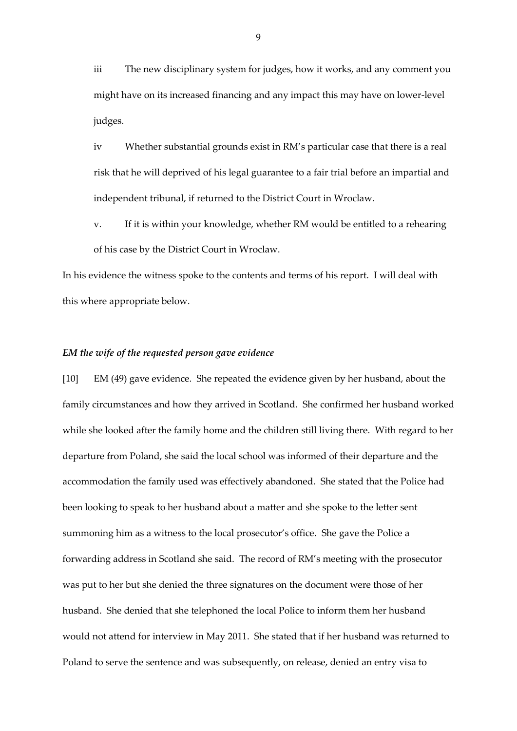iii The new disciplinary system for judges, how it works, and any comment you might have on its increased financing and any impact this may have on lower-level judges.

iv Whether substantial grounds exist in RM's particular case that there is a real risk that he will deprived of his legal guarantee to a fair trial before an impartial and independent tribunal, if returned to the District Court in Wroclaw.

v. If it is within your knowledge, whether RM would be entitled to a rehearing of his case by the District Court in Wroclaw.

In his evidence the witness spoke to the contents and terms of his report. I will deal with this where appropriate below.

#### *EM the wife of the requested person gave evidence*

[10] EM (49) gave evidence. She repeated the evidence given by her husband, about the family circumstances and how they arrived in Scotland. She confirmed her husband worked while she looked after the family home and the children still living there. With regard to her departure from Poland, she said the local school was informed of their departure and the accommodation the family used was effectively abandoned. She stated that the Police had been looking to speak to her husband about a matter and she spoke to the letter sent summoning him as a witness to the local prosecutor's office. She gave the Police a forwarding address in Scotland she said. The record of RM's meeting with the prosecutor was put to her but she denied the three signatures on the document were those of her husband. She denied that she telephoned the local Police to inform them her husband would not attend for interview in May 2011. She stated that if her husband was returned to Poland to serve the sentence and was subsequently, on release, denied an entry visa to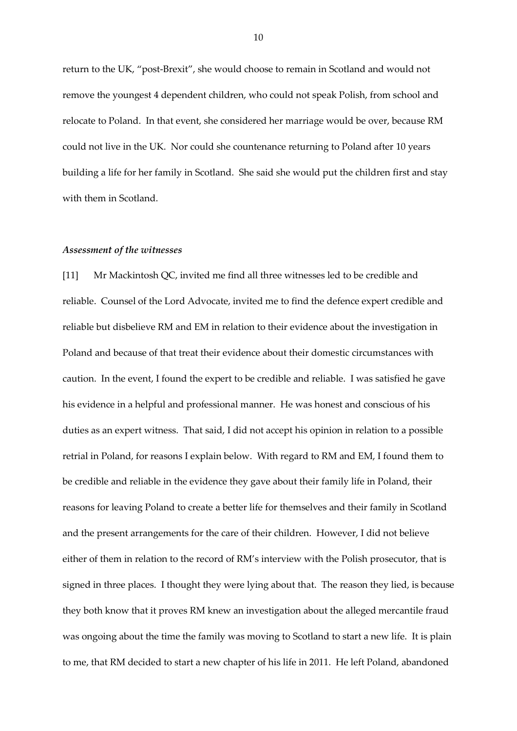return to the UK, "post-Brexit", she would choose to remain in Scotland and would not remove the youngest 4 dependent children, who could not speak Polish, from school and relocate to Poland. In that event, she considered her marriage would be over, because RM could not live in the UK. Nor could she countenance returning to Poland after 10 years building a life for her family in Scotland. She said she would put the children first and stay with them in Scotland.

#### *Assessment of the witnesses*

[11] Mr Mackintosh QC, invited me find all three witnesses led to be credible and reliable. Counsel of the Lord Advocate, invited me to find the defence expert credible and reliable but disbelieve RM and EM in relation to their evidence about the investigation in Poland and because of that treat their evidence about their domestic circumstances with caution. In the event, I found the expert to be credible and reliable. I was satisfied he gave his evidence in a helpful and professional manner. He was honest and conscious of his duties as an expert witness. That said, I did not accept his opinion in relation to a possible retrial in Poland, for reasons I explain below. With regard to RM and EM, I found them to be credible and reliable in the evidence they gave about their family life in Poland, their reasons for leaving Poland to create a better life for themselves and their family in Scotland and the present arrangements for the care of their children. However, I did not believe either of them in relation to the record of RM's interview with the Polish prosecutor, that is signed in three places. I thought they were lying about that. The reason they lied, is because they both know that it proves RM knew an investigation about the alleged mercantile fraud was ongoing about the time the family was moving to Scotland to start a new life. It is plain to me, that RM decided to start a new chapter of his life in 2011. He left Poland, abandoned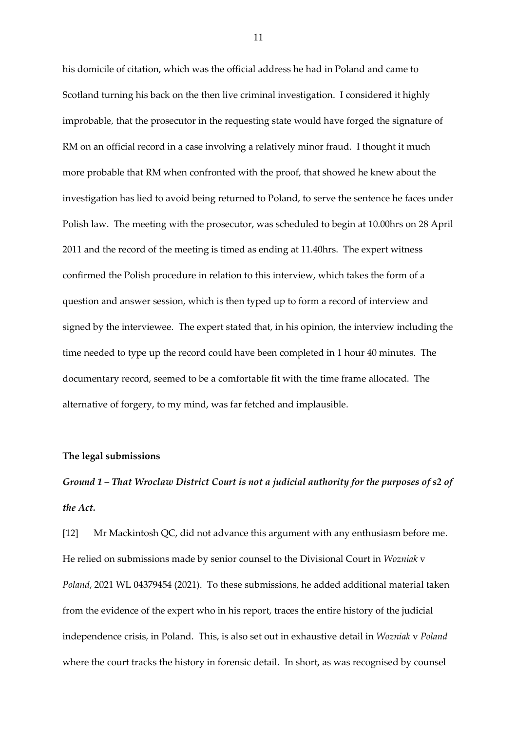his domicile of citation, which was the official address he had in Poland and came to Scotland turning his back on the then live criminal investigation. I considered it highly improbable, that the prosecutor in the requesting state would have forged the signature of RM on an official record in a case involving a relatively minor fraud. I thought it much more probable that RM when confronted with the proof, that showed he knew about the investigation has lied to avoid being returned to Poland, to serve the sentence he faces under Polish law. The meeting with the prosecutor, was scheduled to begin at 10.00hrs on 28 April 2011 and the record of the meeting is timed as ending at 11.40hrs. The expert witness confirmed the Polish procedure in relation to this interview, which takes the form of a question and answer session, which is then typed up to form a record of interview and signed by the interviewee. The expert stated that, in his opinion, the interview including the time needed to type up the record could have been completed in 1 hour 40 minutes. The documentary record, seemed to be a comfortable fit with the time frame allocated. The alternative of forgery, to my mind, was far fetched and implausible.

#### **The legal submissions**

*Ground 1 – That Wroclaw District Court is not a judicial authority for the purposes of s2 of the Act.*

[12] Mr Mackintosh QC, did not advance this argument with any enthusiasm before me. He relied on submissions made by senior counsel to the Divisional Court in *Wozniak* v *Poland*, 2021 WL 04379454 (2021). To these submissions, he added additional material taken from the evidence of the expert who in his report, traces the entire history of the judicial independence crisis, in Poland. This, is also set out in exhaustive detail in *Wozniak* v *Poland* where the court tracks the history in forensic detail. In short, as was recognised by counsel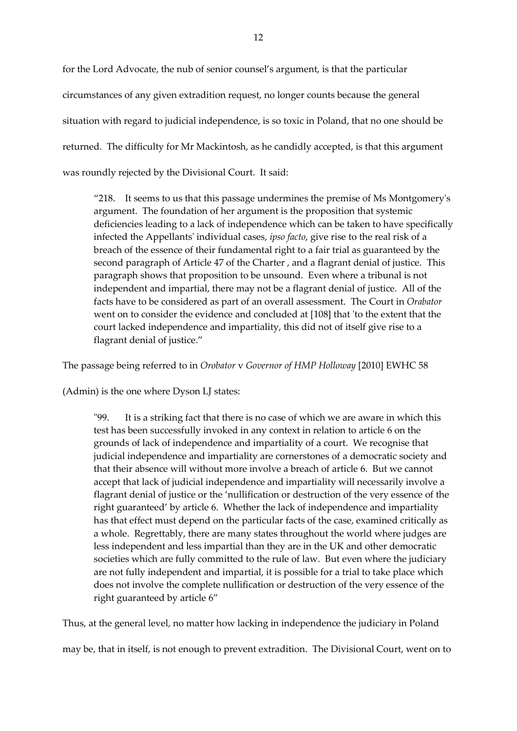for the Lord Advocate, the nub of senior counsel's argument, is that the particular circumstances of any given extradition request, no longer counts because the general situation with regard to judicial independence, is so toxic in Poland, that no one should be returned. The difficulty for Mr Mackintosh, as he candidly accepted, is that this argument was roundly rejected by the Divisional Court. It said:

"218. It seems to us that this passage undermines the premise of Ms Montgomery's argument. The foundation of her argument is the proposition that systemic deficiencies leading to a lack of independence which can be taken to have specifically infected the Appellants' individual cases, *ipso facto*, give rise to the real risk of a breach of the essence of their fundamental right to a fair trial as guaranteed by the second paragraph of Article 47 of the Charter , and a flagrant denial of justice. This paragraph shows that proposition to be unsound. Even where a tribunal is not independent and impartial, there may not be a flagrant denial of justice. All of the facts have to be considered as part of an overall assessment. The Court in *Orabator* went on to consider the evidence and concluded at [108] that 'to the extent that the court lacked independence and impartiality, this did not of itself give rise to a flagrant denial of justice."

The passage being referred to in *Orobator* v *Governor of HMP Holloway* [2010] EWHC 58

(Admin) is the one where Dyson LJ states:

"99. It is a striking fact that there is no case of which we are aware in which this test has been successfully invoked in any context in relation to article 6 on the grounds of lack of independence and impartiality of a court. We recognise that judicial independence and impartiality are cornerstones of a democratic society and that their absence will without more involve a breach of article 6. But we cannot accept that lack of judicial independence and impartiality will necessarily involve a flagrant denial of justice or the 'nullification or destruction of the very essence of the right guaranteed' by article 6. Whether the lack of independence and impartiality has that effect must depend on the particular facts of the case, examined critically as a whole. Regrettably, there are many states throughout the world where judges are less independent and less impartial than they are in the UK and other democratic societies which are fully committed to the rule of law. But even where the judiciary are not fully independent and impartial, it is possible for a trial to take place which does not involve the complete nullification or destruction of the very essence of the right guaranteed by article 6"

Thus, at the general level, no matter how lacking in independence the judiciary in Poland may be, that in itself, is not enough to prevent extradition. The Divisional Court, went on to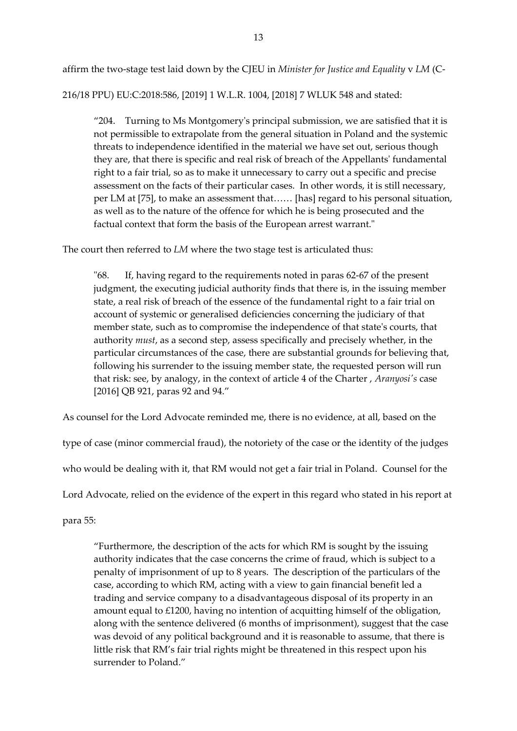affirm the two-stage test laid down by the CJEU in *Minister for Justice and Equality* v *LM* (C-

216/18 PPU) EU:C:2018:586, [2019] 1 W.L.R. 1004, [2018] 7 WLUK 548 and stated:

"204. Turning to Ms Montgomery's principal submission, we are satisfied that it is not permissible to extrapolate from the general situation in Poland and the systemic threats to independence identified in the material we have set out, serious though they are, that there is specific and real risk of breach of the Appellants' fundamental right to a fair trial, so as to make it unnecessary to carry out a specific and precise assessment on the facts of their particular cases. In other words, it is still necessary, per LM at [75], to make an assessment that…… [has] regard to his personal situation, as well as to the nature of the offence for which he is being prosecuted and the factual context that form the basis of the European arrest warrant."

The court then referred to *LM* where the two stage test is articulated thus:

"68. If, having regard to the requirements noted in paras 62-67 of the present judgment, the executing judicial authority finds that there is, in the issuing member state, a real risk of breach of the essence of the fundamental right to a fair trial on account of systemic or generalised deficiencies concerning the judiciary of that member state, such as to compromise the independence of that state's courts, that authority *must*, as a second step, assess specifically and precisely whether, in the particular circumstances of the case, there are substantial grounds for believing that, following his surrender to the issuing member state, the requested person will run that risk: see, by analogy, in the context of article 4 of the Charter , *Aranyosi's* case [2016] QB 921, paras 92 and 94."

As counsel for the Lord Advocate reminded me, there is no evidence, at all, based on the

type of case (minor commercial fraud), the notoriety of the case or the identity of the judges

who would be dealing with it, that RM would not get a fair trial in Poland. Counsel for the

Lord Advocate, relied on the evidence of the expert in this regard who stated in his report at

para 55:

"Furthermore, the description of the acts for which RM is sought by the issuing authority indicates that the case concerns the crime of fraud, which is subject to a penalty of imprisonment of up to 8 years. The description of the particulars of the case, according to which RM, acting with a view to gain financial benefit led a trading and service company to a disadvantageous disposal of its property in an amount equal to £1200, having no intention of acquitting himself of the obligation, along with the sentence delivered (6 months of imprisonment), suggest that the case was devoid of any political background and it is reasonable to assume, that there is little risk that RM's fair trial rights might be threatened in this respect upon his surrender to Poland."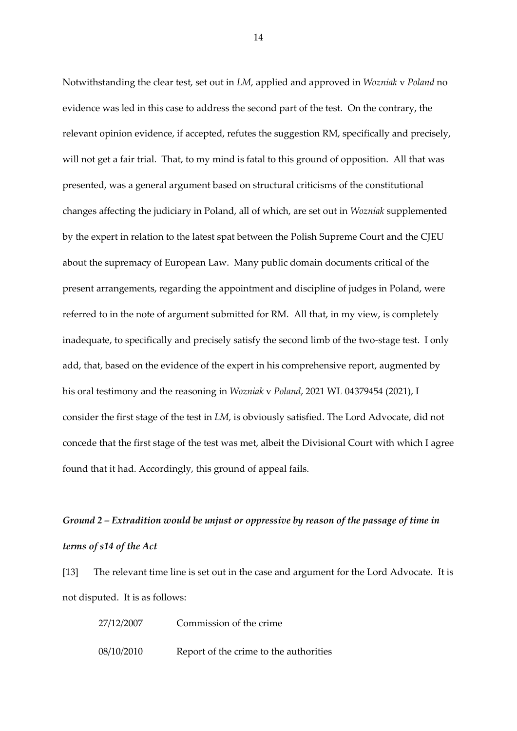Notwithstanding the clear test, set out in *LM,* applied and approved in *Wozniak* v *Poland* no evidence was led in this case to address the second part of the test. On the contrary, the relevant opinion evidence, if accepted, refutes the suggestion RM, specifically and precisely, will not get a fair trial. That, to my mind is fatal to this ground of opposition. All that was presented, was a general argument based on structural criticisms of the constitutional changes affecting the judiciary in Poland, all of which, are set out in *Wozniak* supplemented by the expert in relation to the latest spat between the Polish Supreme Court and the CJEU about the supremacy of European Law. Many public domain documents critical of the present arrangements, regarding the appointment and discipline of judges in Poland, were referred to in the note of argument submitted for RM. All that, in my view, is completely inadequate, to specifically and precisely satisfy the second limb of the two-stage test. I only add, that, based on the evidence of the expert in his comprehensive report, augmented by his oral testimony and the reasoning in *Wozniak* v *Poland*, 2021 WL 04379454 (2021), I consider the first stage of the test in *LM,* is obviously satisfied. The Lord Advocate, did not concede that the first stage of the test was met, albeit the Divisional Court with which I agree found that it had. Accordingly, this ground of appeal fails.

# *Ground 2 – Extradition would be unjust or oppressive by reason of the passage of time in terms of s14 of the Act*

[13] The relevant time line is set out in the case and argument for the Lord Advocate. It is not disputed. It is as follows:

| 27/12/2007 | Commission of the crime.               |
|------------|----------------------------------------|
| 08/10/2010 | Report of the crime to the authorities |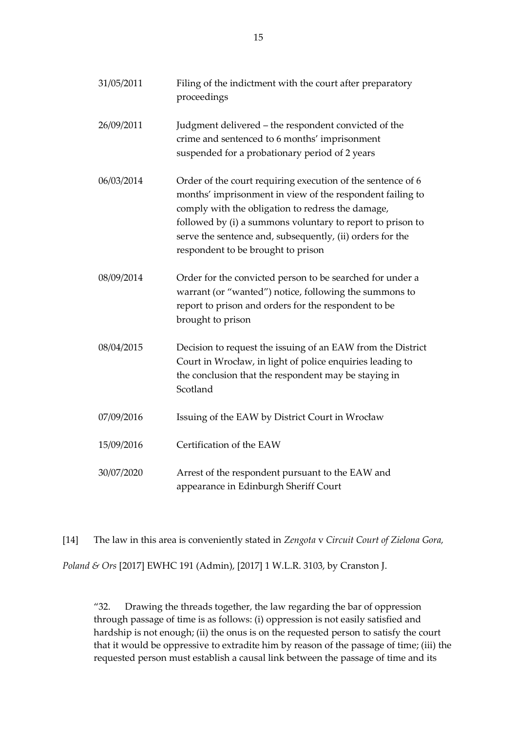| 31/05/2011 | Filing of the indictment with the court after preparatory<br>proceedings                                                                                                                                                                                                                                                                       |
|------------|------------------------------------------------------------------------------------------------------------------------------------------------------------------------------------------------------------------------------------------------------------------------------------------------------------------------------------------------|
| 26/09/2011 | Judgment delivered - the respondent convicted of the<br>crime and sentenced to 6 months' imprisonment<br>suspended for a probationary period of 2 years                                                                                                                                                                                        |
| 06/03/2014 | Order of the court requiring execution of the sentence of 6<br>months' imprisonment in view of the respondent failing to<br>comply with the obligation to redress the damage,<br>followed by (i) a summons voluntary to report to prison to<br>serve the sentence and, subsequently, (ii) orders for the<br>respondent to be brought to prison |
| 08/09/2014 | Order for the convicted person to be searched for under a<br>warrant (or "wanted") notice, following the summons to<br>report to prison and orders for the respondent to be<br>brought to prison                                                                                                                                               |
| 08/04/2015 | Decision to request the issuing of an EAW from the District<br>Court in Wrocław, in light of police enquiries leading to<br>the conclusion that the respondent may be staying in<br>Scotland                                                                                                                                                   |
| 07/09/2016 | Issuing of the EAW by District Court in Wrocław                                                                                                                                                                                                                                                                                                |
| 15/09/2016 | Certification of the EAW                                                                                                                                                                                                                                                                                                                       |
| 30/07/2020 | Arrest of the respondent pursuant to the EAW and<br>appearance in Edinburgh Sheriff Court                                                                                                                                                                                                                                                      |

[14] The law in this area is conveniently stated in *Zengota* v *Circuit Court of Zielona Gora, Poland & Ors* [2017] EWHC 191 (Admin), [2017] 1 W.L.R. 3103, by Cranston J.

"32. Drawing the threads together, the law regarding the bar of oppression through passage of time is as follows: (i) oppression is not easily satisfied and hardship is not enough; (ii) the onus is on the requested person to satisfy the court that it would be oppressive to extradite him by reason of the passage of time; (iii) the requested person must establish a causal link between the passage of time and its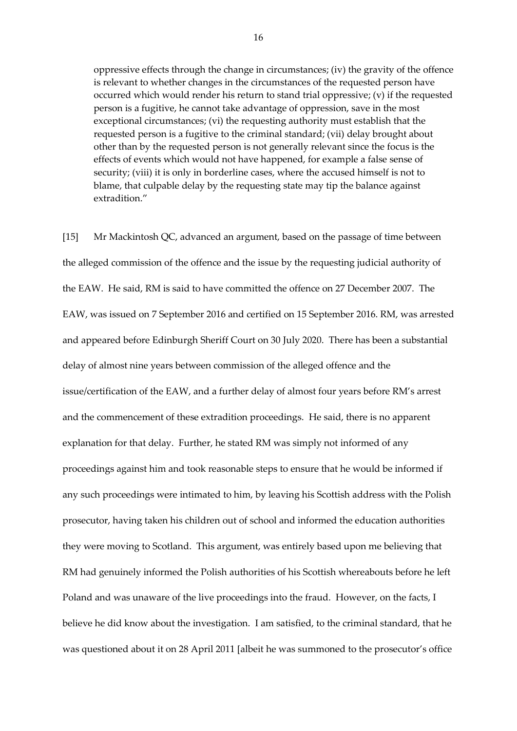oppressive effects through the change in circumstances; (iv) the gravity of the offence is relevant to whether changes in the circumstances of the requested person have occurred which would render his return to stand trial oppressive; (v) if the requested person is a fugitive, he cannot take advantage of oppression, save in the most exceptional circumstances; (vi) the requesting authority must establish that the requested person is a fugitive to the criminal standard; (vii) delay brought about other than by the requested person is not generally relevant since the focus is the effects of events which would not have happened, for example a false sense of security; (viii) it is only in borderline cases, where the accused himself is not to blame, that culpable delay by the requesting state may tip the balance against extradition."

[15] Mr Mackintosh QC, advanced an argument, based on the passage of time between the alleged commission of the offence and the issue by the requesting judicial authority of the EAW. He said, RM is said to have committed the offence on 27 December 2007. The EAW, was issued on 7 September 2016 and certified on 15 September 2016. RM, was arrested and appeared before Edinburgh Sheriff Court on 30 July 2020. There has been a substantial delay of almost nine years between commission of the alleged offence and the issue/certification of the EAW, and a further delay of almost four years before RM's arrest and the commencement of these extradition proceedings. He said, there is no apparent explanation for that delay. Further, he stated RM was simply not informed of any proceedings against him and took reasonable steps to ensure that he would be informed if any such proceedings were intimated to him, by leaving his Scottish address with the Polish prosecutor, having taken his children out of school and informed the education authorities they were moving to Scotland. This argument, was entirely based upon me believing that RM had genuinely informed the Polish authorities of his Scottish whereabouts before he left Poland and was unaware of the live proceedings into the fraud. However, on the facts, I believe he did know about the investigation. I am satisfied, to the criminal standard, that he was questioned about it on 28 April 2011 [albeit he was summoned to the prosecutor's office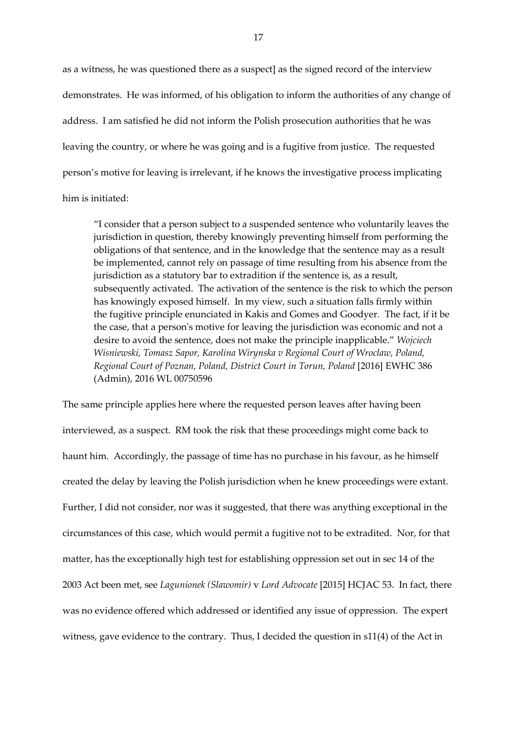as a witness, he was questioned there as a suspect] as the signed record of the interview demonstrates. He was informed, of his obligation to inform the authorities of any change of address. I am satisfied he did not inform the Polish prosecution authorities that he was leaving the country, or where he was going and is a fugitive from justice. The requested person's motive for leaving is irrelevant, if he knows the investigative process implicating him is initiated:

"I consider that a person subject to a suspended sentence who voluntarily leaves the jurisdiction in question, thereby knowingly preventing himself from performing the obligations of that sentence, and in the knowledge that the sentence may as a result be implemented, cannot rely on passage of time resulting from his absence from the jurisdiction as a statutory bar to extradition if the sentence is, as a result, subsequently activated. The activation of the sentence is the risk to which the person has knowingly exposed himself. In my view, such a situation falls firmly within the fugitive principle enunciated in Kakis and Gomes and Goodyer. The fact, if it be the case, that a person's motive for leaving the jurisdiction was economic and not a desire to avoid the sentence, does not make the principle inapplicable." *Wojciech Wisniewski, Tomasz Sapor, Karolina Wirynska v Regional Court of Wroclaw, Poland, Regional Court of Poznan, Poland, District Court in Torun, Poland* [2016] EWHC 386 (Admin), 2016 WL 00750596

The same principle applies here where the requested person leaves after having been interviewed, as a suspect. RM took the risk that these proceedings might come back to haunt him. Accordingly, the passage of time has no purchase in his favour, as he himself created the delay by leaving the Polish jurisdiction when he knew proceedings were extant. Further, I did not consider, nor was it suggested, that there was anything exceptional in the circumstances of this case, which would permit a fugitive not to be extradited. Nor, for that matter, has the exceptionally high test for establishing oppression set out in sec 14 of the 2003 Act been met, see *Lagunionek (Slawomir)* v *Lord Advocate* [2015] HCJAC 53. In fact, there was no evidence offered which addressed or identified any issue of oppression. The expert witness, gave evidence to the contrary. Thus, I decided the question in s11(4) of the Act in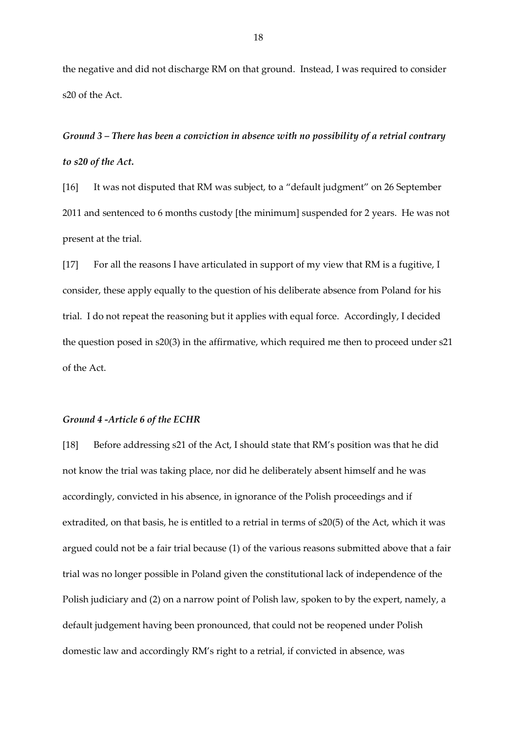the negative and did not discharge RM on that ground. Instead, I was required to consider s20 of the Act.

*Ground 3 – There has been a conviction in absence with no possibility of a retrial contrary to s20 of the Act.*

[16] It was not disputed that RM was subject, to a "default judgment" on 26 September 2011 and sentenced to 6 months custody [the minimum] suspended for 2 years. He was not present at the trial.

[17] For all the reasons I have articulated in support of my view that RM is a fugitive, I consider, these apply equally to the question of his deliberate absence from Poland for his trial. I do not repeat the reasoning but it applies with equal force. Accordingly, I decided the question posed in s20(3) in the affirmative, which required me then to proceed under s21 of the Act.

#### *Ground 4 -Article 6 of the ECHR*

[18] Before addressing s21 of the Act, I should state that RM's position was that he did not know the trial was taking place, nor did he deliberately absent himself and he was accordingly, convicted in his absence, in ignorance of the Polish proceedings and if extradited, on that basis, he is entitled to a retrial in terms of s20(5) of the Act, which it was argued could not be a fair trial because (1) of the various reasons submitted above that a fair trial was no longer possible in Poland given the constitutional lack of independence of the Polish judiciary and (2) on a narrow point of Polish law, spoken to by the expert, namely, a default judgement having been pronounced, that could not be reopened under Polish domestic law and accordingly RM's right to a retrial, if convicted in absence, was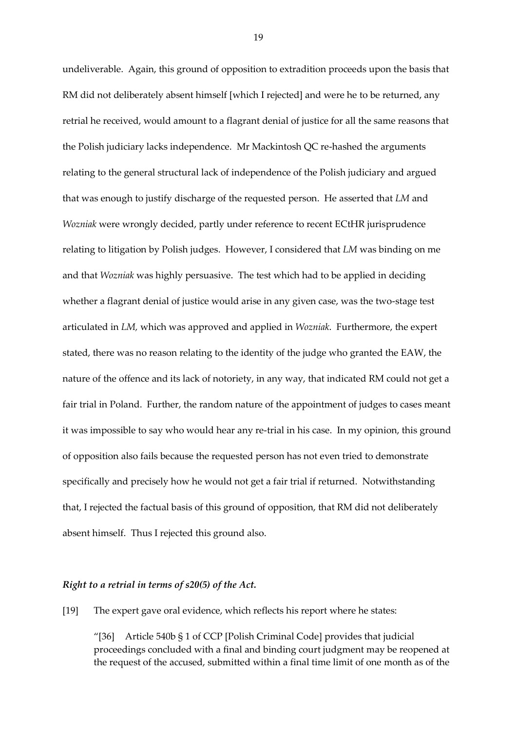undeliverable. Again, this ground of opposition to extradition proceeds upon the basis that RM did not deliberately absent himself [which I rejected] and were he to be returned, any retrial he received, would amount to a flagrant denial of justice for all the same reasons that the Polish judiciary lacks independence. Mr Mackintosh QC re-hashed the arguments relating to the general structural lack of independence of the Polish judiciary and argued that was enough to justify discharge of the requested person. He asserted that *LM* and *Wozniak* were wrongly decided, partly under reference to recent ECtHR jurisprudence relating to litigation by Polish judges. However, I considered that *LM* was binding on me and that *Wozniak* was highly persuasive. The test which had to be applied in deciding whether a flagrant denial of justice would arise in any given case, was the two-stage test articulated in *LM,* which was approved and applied in *Wozniak*. Furthermore, the expert stated, there was no reason relating to the identity of the judge who granted the EAW, the nature of the offence and its lack of notoriety, in any way, that indicated RM could not get a fair trial in Poland. Further, the random nature of the appointment of judges to cases meant it was impossible to say who would hear any re-trial in his case. In my opinion, this ground of opposition also fails because the requested person has not even tried to demonstrate specifically and precisely how he would not get a fair trial if returned. Notwithstanding that, I rejected the factual basis of this ground of opposition, that RM did not deliberately absent himself. Thus I rejected this ground also.

## *Right to a retrial in terms of s20(5) of the Act.*

[19] The expert gave oral evidence, which reflects his report where he states:

"[36] Article 540b § 1 of CCP [Polish Criminal Code] provides that judicial proceedings concluded with a final and binding court judgment may be reopened at the request of the accused, submitted within a final time limit of one month as of the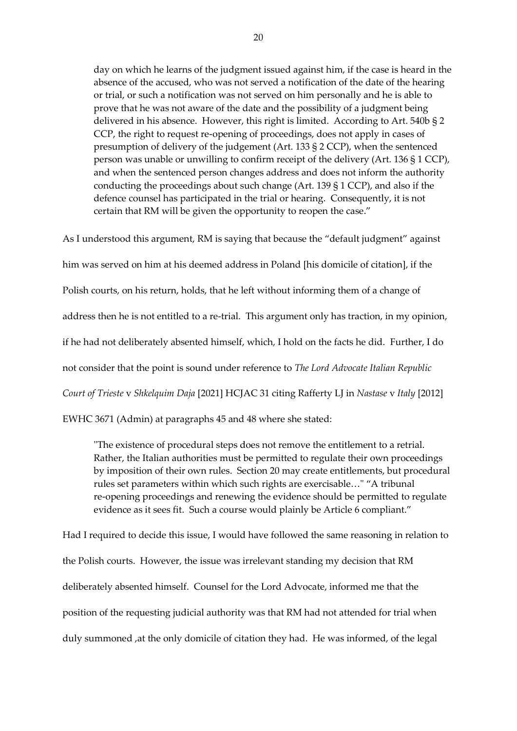day on which he learns of the judgment issued against him, if the case is heard in the absence of the accused, who was not served a notification of the date of the hearing or trial, or such a notification was not served on him personally and he is able to prove that he was not aware of the date and the possibility of a judgment being delivered in his absence. However, this right is limited. According to Art. 540b § 2 CCP, the right to request re-opening of proceedings, does not apply in cases of presumption of delivery of the judgement (Art. 133 § 2 CCP), when the sentenced person was unable or unwilling to confirm receipt of the delivery (Art. 136 § 1 CCP), and when the sentenced person changes address and does not inform the authority conducting the proceedings about such change (Art. 139 § 1 CCP), and also if the defence counsel has participated in the trial or hearing. Consequently, it is not certain that RM will be given the opportunity to reopen the case."

As I understood this argument, RM is saying that because the "default judgment" against him was served on him at his deemed address in Poland [his domicile of citation], if the Polish courts, on his return, holds, that he left without informing them of a change of address then he is not entitled to a re-trial. This argument only has traction, in my opinion, if he had not deliberately absented himself, which, I hold on the facts he did. Further, I do not consider that the point is sound under reference to *The Lord Advocate Italian Republic Court of Trieste* v *Shkelquim Daja* [2021] HCJAC 31 citing Rafferty LJ in *Nastase* v *Italy* [2012] EWHC 3671 (Admin) at paragraphs 45 and 48 where she stated:

"The existence of procedural steps does not remove the entitlement to a retrial. Rather, the Italian authorities must be permitted to regulate their own proceedings by imposition of their own rules. Section 20 may create entitlements, but procedural rules set parameters within which such rights are exercisable…" "A tribunal re-opening proceedings and renewing the evidence should be permitted to regulate evidence as it sees fit. Such a course would plainly be Article 6 compliant."

Had I required to decide this issue, I would have followed the same reasoning in relation to the Polish courts. However, the issue was irrelevant standing my decision that RM deliberately absented himself. Counsel for the Lord Advocate, informed me that the position of the requesting judicial authority was that RM had not attended for trial when duly summoned ,at the only domicile of citation they had. He was informed, of the legal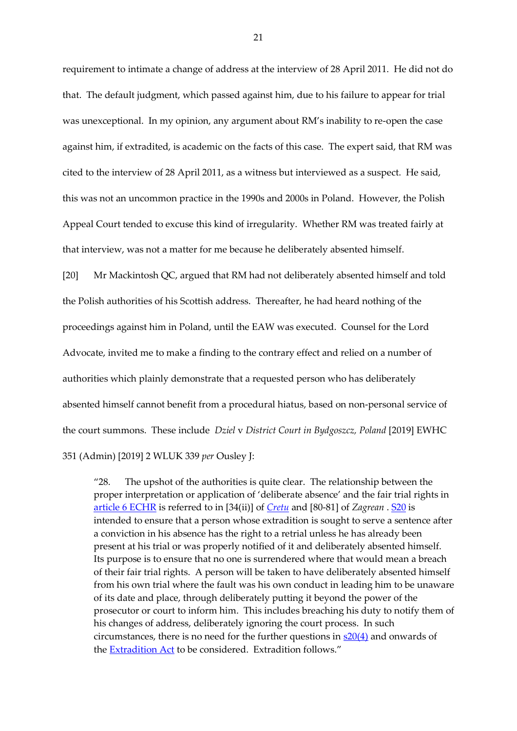requirement to intimate a change of address at the interview of 28 April 2011. He did not do that. The default judgment, which passed against him, due to his failure to appear for trial was unexceptional. In my opinion, any argument about RM's inability to re-open the case against him, if extradited, is academic on the facts of this case. The expert said, that RM was cited to the interview of 28 April 2011, as a witness but interviewed as a suspect. He said, this was not an uncommon practice in the 1990s and 2000s in Poland. However, the Polish Appeal Court tended to excuse this kind of irregularity. Whether RM was treated fairly at that interview, was not a matter for me because he deliberately absented himself.

[20] Mr Mackintosh QC, argued that RM had not deliberately absented himself and told the Polish authorities of his Scottish address. Thereafter, he had heard nothing of the proceedings against him in Poland, until the EAW was executed. Counsel for the Lord Advocate, invited me to make a finding to the contrary effect and relied on a number of authorities which plainly demonstrate that a requested person who has deliberately absented himself cannot benefit from a procedural hiatus, based on non-personal service of the court summons. These include *Dziel* v *District Court in Bydgoszcz, Poland* [2019] EWHC 351 (Admin) [2019] 2 WLUK 339 *per* Ousley J:

"28. The upshot of the authorities is quite clear. The relationship between the proper interpretation or application of 'deliberate absence' and the fair trial rights in [article 6 ECHR](https://uk.westlaw.com/Document/IAE1FBD48E5924705BFBD5299078ED2BC/View/FullText.html?originationContext=document&transitionType=DocumentItem&ppcid=005fadd1c68549f4870c3d8506651351&contextData=(sc.Search)) is referred to in [34(ii)] of *[Cretu](https://uk.westlaw.com/Document/I3405EA80DC9C11E595EEECC44DD6B226/View/FullText.html?originationContext=document&transitionType=DocumentItem&ppcid=005fadd1c68549f4870c3d8506651351&contextData=(sc.Search))* and [80-81] of *Zagrean* . [S20](https://uk.westlaw.com/Document/ICC38D9E0E45211DA8D70A0E70A78ED65/View/FullText.html?originationContext=document&transitionType=DocumentItem&ppcid=005fadd1c68549f4870c3d8506651351&contextData=(sc.Search)) is intended to ensure that a person whose extradition is sought to serve a sentence after a conviction in his absence has the right to a retrial unless he has already been present at his trial or was properly notified of it and deliberately absented himself. Its purpose is to ensure that no one is surrendered where that would mean a breach of their fair trial rights. A person will be taken to have deliberately absented himself from his own trial where the fault was his own conduct in leading him to be unaware of its date and place, through deliberately putting it beyond the power of the prosecutor or court to inform him. This includes breaching his duty to notify them of his changes of address, deliberately ignoring the court process. In such circumstances, there is no need for the further questions in  $s20(4)$  and onwards of the **[Extradition Act](https://uk.westlaw.com/Document/I5F98D210E42311DAA7CF8F68F6EE57AB/View/FullText.html?originationContext=document&transitionType=DocumentItem&ppcid=005fadd1c68549f4870c3d8506651351&contextData=(sc.Search))** to be considered. Extradition follows."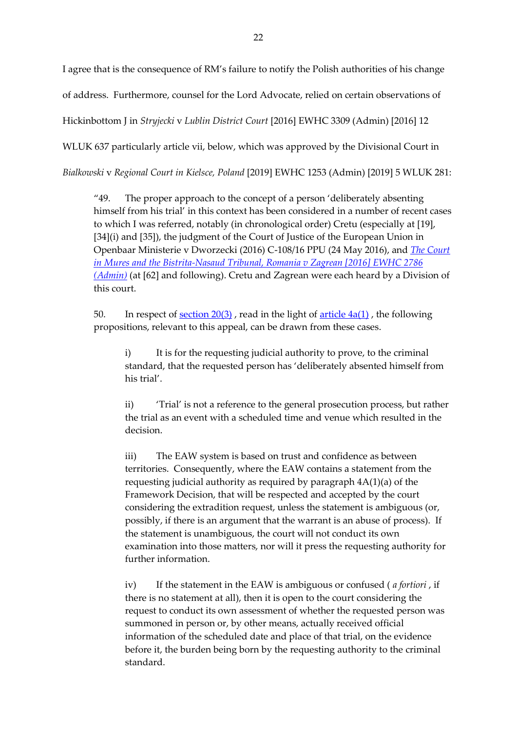I agree that is the consequence of RM's failure to notify the Polish authorities of his change of address. Furthermore, counsel for the Lord Advocate, relied on certain observations of Hickinbottom J in *Stryjecki* v *Lublin District Court* [2016] EWHC 3309 (Admin) [2016] 12 WLUK 637 particularly article vii, below, which was approved by the Divisional Court in

*Bialkowski* v *Regional Court in Kielsce, Poland* [2019] EWHC 1253 (Admin) [2019] 5 WLUK 281:

"49. The proper approach to the concept of a person 'deliberately absenting himself from his trial' in this context has been considered in a number of recent cases to which I was referred, notably (in chronological order) Cretu (especially at [19], [34](i) and [35]), the judgment of the Court of Justice of the European Union in Openbaar Ministerie v Dworzecki (2016) C-108/16 PPU (24 May 2016), and *[The Court](https://uk.westlaw.com/Document/IDF042610A4D111E6B10CCBB9F33FF159/View/FullText.html?originationContext=document&transitionType=DocumentItem&ppcid=2631de03b8f242bab1816de256dc6f9d&contextData=(sc.DocLink))  [in Mures and the Bistrita-Nasaud Tribunal, Romania v Zagrean \[2016\] EWHC 2786](https://uk.westlaw.com/Document/IDF042610A4D111E6B10CCBB9F33FF159/View/FullText.html?originationContext=document&transitionType=DocumentItem&ppcid=2631de03b8f242bab1816de256dc6f9d&contextData=(sc.DocLink))  [\(Admin\)](https://uk.westlaw.com/Document/IDF042610A4D111E6B10CCBB9F33FF159/View/FullText.html?originationContext=document&transitionType=DocumentItem&ppcid=2631de03b8f242bab1816de256dc6f9d&contextData=(sc.DocLink))* (at [62] and following). Cretu and Zagrean were each heard by a Division of this court.

50. In respect of <u>[section 20\(3\)](https://uk.westlaw.com/Document/ICC38D9E0E45211DA8D70A0E70A78ED65/View/FullText.html?originationContext=document&transitionType=DocumentItem&ppcid=2631de03b8f242bab1816de256dc6f9d&contextData=(sc.DocLink))</u>, read in the light of <u>article  $4a(1)$ </u>, the following propositions, relevant to this appeal, can be drawn from these cases.

i) It is for the requesting judicial authority to prove, to the criminal standard, that the requested person has 'deliberately absented himself from his trial'.

ii) 'Trial' is not a reference to the general prosecution process, but rather the trial as an event with a scheduled time and venue which resulted in the decision.

iii) The EAW system is based on trust and confidence as between territories. Consequently, where the EAW contains a statement from the requesting judicial authority as required by paragraph 4A(1)(a) of the Framework Decision, that will be respected and accepted by the court considering the extradition request, unless the statement is ambiguous (or, possibly, if there is an argument that the warrant is an abuse of process). If the statement is unambiguous, the court will not conduct its own examination into those matters, nor will it press the requesting authority for further information.

iv) If the statement in the EAW is ambiguous or confused ( *a fortiori* , if there is no statement at all), then it is open to the court considering the request to conduct its own assessment of whether the requested person was summoned in person or, by other means, actually received official information of the scheduled date and place of that trial, on the evidence before it, the burden being born by the requesting authority to the criminal standard.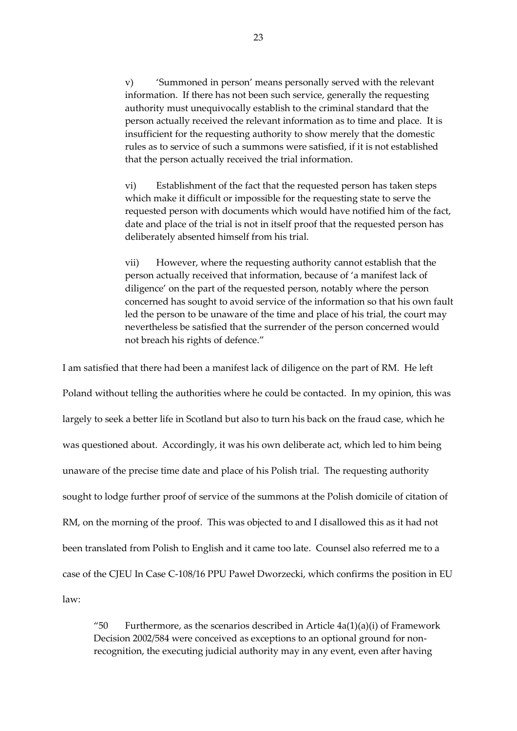v) 'Summoned in person' means personally served with the relevant information. If there has not been such service, generally the requesting authority must unequivocally establish to the criminal standard that the person actually received the relevant information as to time and place. It is insufficient for the requesting authority to show merely that the domestic rules as to service of such a summons were satisfied, if it is not established that the person actually received the trial information.

vi) Establishment of the fact that the requested person has taken steps which make it difficult or impossible for the requesting state to serve the requested person with documents which would have notified him of the fact, date and place of the trial is not in itself proof that the requested person has deliberately absented himself from his trial.

vii) However, where the requesting authority cannot establish that the person actually received that information, because of 'a manifest lack of diligence' on the part of the requested person, notably where the person concerned has sought to avoid service of the information so that his own fault led the person to be unaware of the time and place of his trial, the court may nevertheless be satisfied that the surrender of the person concerned would not breach his rights of defence."

I am satisfied that there had been a manifest lack of diligence on the part of RM. He left Poland without telling the authorities where he could be contacted. In my opinion, this was largely to seek a better life in Scotland but also to turn his back on the fraud case, which he was questioned about. Accordingly, it was his own deliberate act, which led to him being unaware of the precise time date and place of his Polish trial. The requesting authority sought to lodge further proof of service of the summons at the Polish domicile of citation of RM, on the morning of the proof. This was objected to and I disallowed this as it had not been translated from Polish to English and it came too late. Counsel also referred me to a case of the CJEU In Case C-108/16 PPU Paweł Dworzecki, which confirms the position in EU law:

"50 Furthermore, as the scenarios described in Article  $4a(1)(a)(i)$  of Framework Decision 2002/584 were conceived as exceptions to an optional ground for nonrecognition, the executing judicial authority may in any event, even after having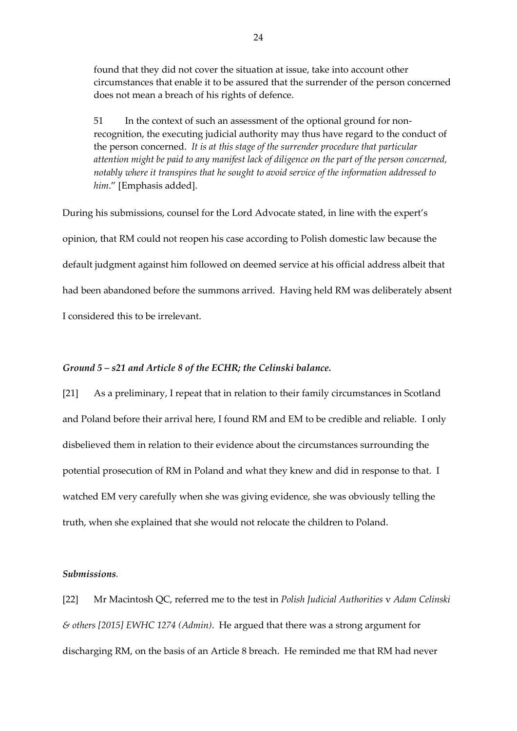found that they did not cover the situation at issue, take into account other circumstances that enable it to be assured that the surrender of the person concerned does not mean a breach of his rights of defence.

51 In the context of such an assessment of the optional ground for nonrecognition, the executing judicial authority may thus have regard to the conduct of the person concerned. *It is at this stage of the surrender procedure that particular attention might be paid to any manifest lack of diligence on the part of the person concerned, notably where it transpires that he sought to avoid service of the information addressed to him*." [Emphasis added].

During his submissions, counsel for the Lord Advocate stated, in line with the expert's opinion, that RM could not reopen his case according to Polish domestic law because the default judgment against him followed on deemed service at his official address albeit that had been abandoned before the summons arrived. Having held RM was deliberately absent I considered this to be irrelevant.

#### *Ground 5 – s21 and Article 8 of the ECHR; the Celinski balance.*

[21] As a preliminary, I repeat that in relation to their family circumstances in Scotland and Poland before their arrival here, I found RM and EM to be credible and reliable. I only disbelieved them in relation to their evidence about the circumstances surrounding the potential prosecution of RM in Poland and what they knew and did in response to that. I watched EM very carefully when she was giving evidence, she was obviously telling the truth, when she explained that she would not relocate the children to Poland.

## *Submissions.*

[22] Mr Macintosh QC, referred me to the test in *Polish Judicial Authorities* v *Adam Celinski & others [2015] EWHC 1274 (Admin)*. He argued that there was a strong argument for discharging RM, on the basis of an Article 8 breach. He reminded me that RM had never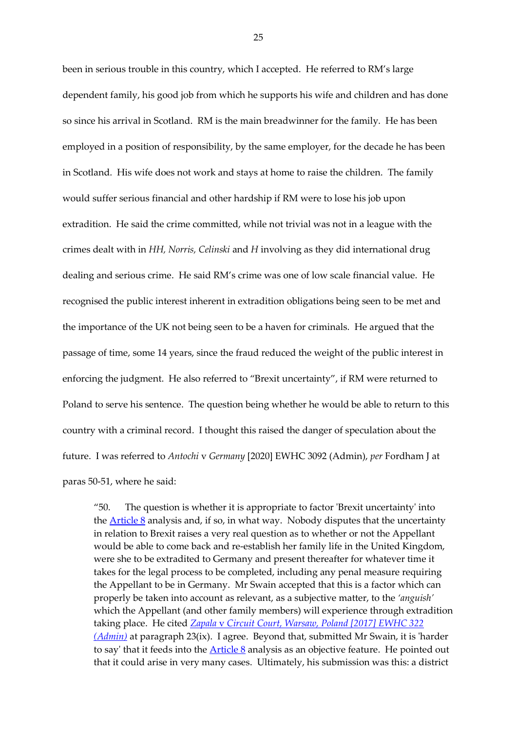been in serious trouble in this country, which I accepted. He referred to RM's large dependent family, his good job from which he supports his wife and children and has done so since his arrival in Scotland. RM is the main breadwinner for the family. He has been employed in a position of responsibility, by the same employer, for the decade he has been in Scotland. His wife does not work and stays at home to raise the children. The family would suffer serious financial and other hardship if RM were to lose his job upon extradition. He said the crime committed, while not trivial was not in a league with the crimes dealt with in *HH, Norris, Celinski* and *H* involving as they did international drug dealing and serious crime. He said RM's crime was one of low scale financial value. He recognised the public interest inherent in extradition obligations being seen to be met and the importance of the UK not being seen to be a haven for criminals. He argued that the passage of time, some 14 years, since the fraud reduced the weight of the public interest in enforcing the judgment. He also referred to "Brexit uncertainty", if RM were returned to Poland to serve his sentence. The question being whether he would be able to return to this country with a criminal record. I thought this raised the danger of speculation about the future. I was referred to *Antochi* v *Germany* [2020] EWHC 3092 (Admin), *per* Fordham J at paras 50-51, where he said:

"50. The question is whether it is appropriate to factor 'Brexit uncertainty' into the [Article](https://uk.westlaw.com/Document/I13AEBA7190CB4FD6878845F048D2A987/View/FullText.html?originationContext=document&transitionType=DocumentItem&ppcid=9cdb7c1b84984eb58dc2dcd2514e4099&contextData=(sc.Search)) 8 analysis and, if so, in what way. Nobody disputes that the uncertainty in relation to Brexit raises a very real question as to whether or not the Appellant would be able to come back and re-establish her family life in the United Kingdom, were she to be extradited to Germany and present thereafter for whatever time it takes for the legal process to be completed, including any penal measure requiring the Appellant to be in Germany. Mr Swain accepted that this is a factor which can properly be taken into account as relevant, as a subjective matter, to the *'anguish'*  which the Appellant (and other family members) will experience through extradition taking place. He cited *Zapala* v *[Circuit Court, Warsaw, Poland \[2017\] EWHC 322](https://uk.westlaw.com/Document/I1F930D50FA9911E69961C9D81ACC1B03/View/FullText.html?originationContext=document&transitionType=DocumentItem&ppcid=9cdb7c1b84984eb58dc2dcd2514e4099&contextData=(sc.Search))  [\(Admin\)](https://uk.westlaw.com/Document/I1F930D50FA9911E69961C9D81ACC1B03/View/FullText.html?originationContext=document&transitionType=DocumentItem&ppcid=9cdb7c1b84984eb58dc2dcd2514e4099&contextData=(sc.Search))* at paragraph 23(ix). I agree. Beyond that, submitted Mr Swain, it is 'harder to say' that it feeds into the  $\frac{\text{Article 8}}{\text{6}}$  $\frac{\text{Article 8}}{\text{6}}$  $\frac{\text{Article 8}}{\text{6}}$  analysis as an objective feature. He pointed out that it could arise in very many cases. Ultimately, his submission was this: a district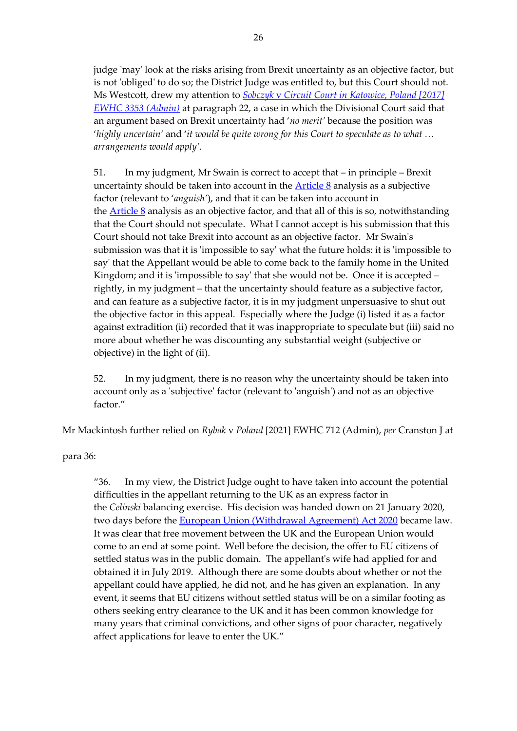judge 'may' look at the risks arising from Brexit uncertainty as an objective factor, but is not 'obliged' to do so; the District Judge was entitled to, but this Court should not. Ms Westcott, drew my attention to *Sobczyk* v *[Circuit Court in Katowice, Poland \[2017\]](https://uk.westlaw.com/Document/I95E672E0E5A211E7BD13D6E6B3353803/View/FullText.html?originationContext=document&transitionType=DocumentItem&ppcid=9cdb7c1b84984eb58dc2dcd2514e4099&contextData=(sc.Search))  [EWHC 3353 \(Admin\)](https://uk.westlaw.com/Document/I95E672E0E5A211E7BD13D6E6B3353803/View/FullText.html?originationContext=document&transitionType=DocumentItem&ppcid=9cdb7c1b84984eb58dc2dcd2514e4099&contextData=(sc.Search))* at paragraph 22, a case in which the Divisional Court said that an argument based on Brexit uncertainty had '*no merit'* because the position was '*highly uncertain'* and '*it would be quite wrong for this Court to speculate as to what … arrangements would apply'*.

51. In my judgment, Mr Swain is correct to accept that – in principle – Brexit uncertainty should be taken into account in the [Article](https://uk.westlaw.com/Document/I13AEBA7190CB4FD6878845F048D2A987/View/FullText.html?originationContext=document&transitionType=DocumentItem&ppcid=9cdb7c1b84984eb58dc2dcd2514e4099&contextData=(sc.Search)) 8 analysis as a subjective factor (relevant to '*anguish'*), and that it can be taken into account in the [Article](https://uk.westlaw.com/Document/I13AEBA7190CB4FD6878845F048D2A987/View/FullText.html?originationContext=document&transitionType=DocumentItem&ppcid=9cdb7c1b84984eb58dc2dcd2514e4099&contextData=(sc.Search)) 8 analysis as an objective factor, and that all of this is so, notwithstanding that the Court should not speculate. What I cannot accept is his submission that this Court should not take Brexit into account as an objective factor. Mr Swain's submission was that it is 'impossible to say' what the future holds: it is 'impossible to say' that the Appellant would be able to come back to the family home in the United Kingdom; and it is 'impossible to say' that she would not be. Once it is accepted – rightly, in my judgment – that the uncertainty should feature as a subjective factor, and can feature as a subjective factor, it is in my judgment unpersuasive to shut out the objective factor in this appeal. Especially where the Judge (i) listed it as a factor against extradition (ii) recorded that it was inappropriate to speculate but (iii) said no more about whether he was discounting any substantial weight (subjective or objective) in the light of (ii).

52. In my judgment, there is no reason why the uncertainty should be taken into account only as a 'subjective' factor (relevant to 'anguish') and not as an objective factor."

Mr Mackintosh further relied on *Rybak* v *Poland* [2021] EWHC 712 (Admin), *per* Cranston J at

para 36:

"36. In my view, the District Judge ought to have taken into account the potential difficulties in the appellant returning to the UK as an express factor in the *Celinski* balancing exercise. His decision was handed down on 21 January 2020, two days before the [European Union \(Withdrawal Agreement\) Act 2020](https://uk.westlaw.com/Document/I9B2F40003EB111EAB784D3F81CE38526/View/FullText.html?originationContext=document&transitionType=DocumentItem&ppcid=721d037370c543d0868b8d0a834c18a2&contextData=(sc.Search)&comp=wluk) became law. It was clear that free movement between the UK and the European Union would come to an end at some point. Well before the decision, the offer to EU citizens of settled status was in the public domain. The appellant's wife had applied for and obtained it in July 2019. Although there are some doubts about whether or not the appellant could have applied, he did not, and he has given an explanation. In any event, it seems that EU citizens without settled status will be on a similar footing as others seeking entry clearance to the UK and it has been common knowledge for many years that criminal convictions, and other signs of poor character, negatively affect applications for leave to enter the UK."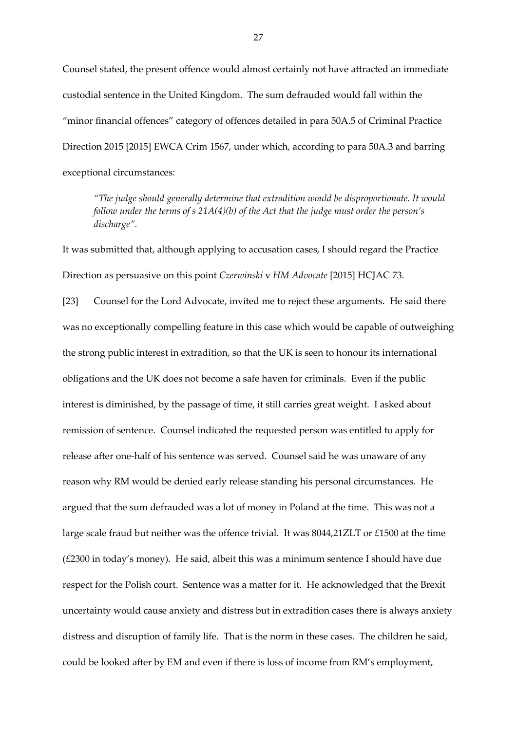Counsel stated, the present offence would almost certainly not have attracted an immediate custodial sentence in the United Kingdom. The sum defrauded would fall within the "minor financial offences" category of offences detailed in para 50A.5 of Criminal Practice Direction 2015 [2015] EWCA Crim 1567, under which, according to para 50A.3 and barring exceptional circumstances:

*"The judge should generally determine that extradition would be disproportionate. It would follow under the terms of s 21A(4)(b) of the Act that the judge must order the person's discharge".*

It was submitted that, although applying to accusation cases, I should regard the Practice Direction as persuasive on this point *Czerwinski* v *HM Advocate* [2015] HCJAC 73.

[23] Counsel for the Lord Advocate, invited me to reject these arguments. He said there was no exceptionally compelling feature in this case which would be capable of outweighing the strong public interest in extradition, so that the UK is seen to honour its international obligations and the UK does not become a safe haven for criminals. Even if the public interest is diminished, by the passage of time, it still carries great weight. I asked about remission of sentence. Counsel indicated the requested person was entitled to apply for release after one-half of his sentence was served. Counsel said he was unaware of any reason why RM would be denied early release standing his personal circumstances. He argued that the sum defrauded was a lot of money in Poland at the time. This was not a large scale fraud but neither was the offence trivial. It was 8044,21ZLT or £1500 at the time (£2300 in today's money). He said, albeit this was a minimum sentence I should have due respect for the Polish court. Sentence was a matter for it. He acknowledged that the Brexit uncertainty would cause anxiety and distress but in extradition cases there is always anxiety distress and disruption of family life. That is the norm in these cases. The children he said, could be looked after by EM and even if there is loss of income from RM's employment,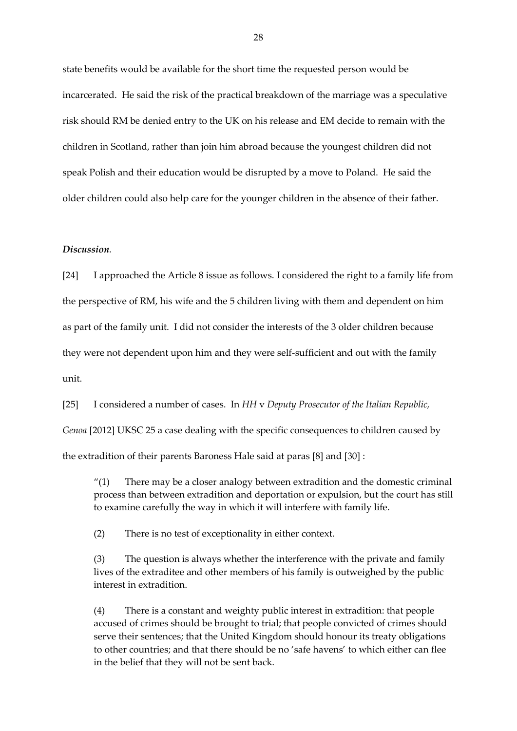state benefits would be available for the short time the requested person would be incarcerated. He said the risk of the practical breakdown of the marriage was a speculative risk should RM be denied entry to the UK on his release and EM decide to remain with the children in Scotland, rather than join him abroad because the youngest children did not speak Polish and their education would be disrupted by a move to Poland. He said the older children could also help care for the younger children in the absence of their father.

#### *Discussion.*

[24] I approached the Article 8 issue as follows. I considered the right to a family life from the perspective of RM, his wife and the 5 children living with them and dependent on him as part of the family unit. I did not consider the interests of the 3 older children because they were not dependent upon him and they were self-sufficient and out with the family unit.

[25] I considered a number of cases. In *HH* v *Deputy Prosecutor of the Italian Republic,* 

*Genoa* [2012] UKSC 25 a case dealing with the specific consequences to children caused by

the extradition of their parents Baroness Hale said at paras [8] and [30] :

" $(1)$  There may be a closer analogy between extradition and the domestic criminal process than between extradition and deportation or expulsion, but the court has still to examine carefully the way in which it will interfere with family life.

(2) There is no test of exceptionality in either context.

(3) The question is always whether the interference with the private and family lives of the extraditee and other members of his family is outweighed by the public interest in extradition.

(4) There is a constant and weighty public interest in extradition: that people accused of crimes should be brought to trial; that people convicted of crimes should serve their sentences; that the United Kingdom should honour its treaty obligations to other countries; and that there should be no 'safe havens' to which either can flee in the belief that they will not be sent back.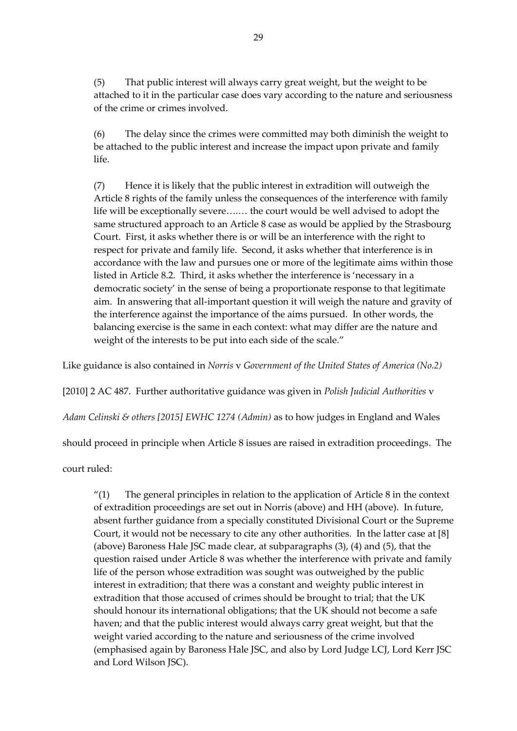(5) That public interest will always carry great weight, but the weight to be attached to it in the particular case does vary according to the nature and seriousness of the crime or crimes involved.

(6) The delay since the crimes were committed may both diminish the weight to be attached to the public interest and increase the impact upon private and family life.

(7) Hence it is likely that the public interest in extradition will outweigh the Article 8 rights of the family unless the consequences of the interference with family life will be exceptionally severe….… the court would be well advised to adopt the same structured approach to an Article 8 case as would be applied by the Strasbourg Court. First, it asks whether there is or will be an interference with the right to respect for private and family life. Second, it asks whether that interference is in accordance with the law and pursues one or more of the legitimate aims within those listed in Article 8.2. Third, it asks whether the interference is 'necessary in a democratic society' in the sense of being a proportionate response to that legitimate aim. In answering that all-important question it will weigh the nature and gravity of the interference against the importance of the aims pursued. In other words, the balancing exercise is the same in each context: what may differ are the nature and weight of the interests to be put into each side of the scale."

Like guidance is also contained in *Norris* v *Government of the United States of America (No.2)*

[2010] 2 AC 487. Further authoritative guidance was given in *Polish Judicial Authorities* v

*Adam Celinski & others [2015] EWHC 1274 (Admin)* as to how judges in England and Wales

should proceed in principle when Article 8 issues are raised in extradition proceedings. The

court ruled:

" $(1)$  The general principles in relation to the application of Article 8 in the context of extradition proceedings are set out in Norris (above) and HH (above). In future, absent further guidance from a specially constituted Divisional Court or the Supreme Court, it would not be necessary to cite any other authorities. In the latter case at [8] (above) Baroness Hale JSC made clear, at subparagraphs (3), (4) and (5), that the question raised under Article 8 was whether the interference with private and family life of the person whose extradition was sought was outweighed by the public interest in extradition; that there was a constant and weighty public interest in extradition that those accused of crimes should be brought to trial; that the UK should honour its international obligations; that the UK should not become a safe haven; and that the public interest would always carry great weight, but that the weight varied according to the nature and seriousness of the crime involved (emphasised again by Baroness Hale JSC, and also by Lord Judge LCJ, Lord Kerr JSC and Lord Wilson JSC).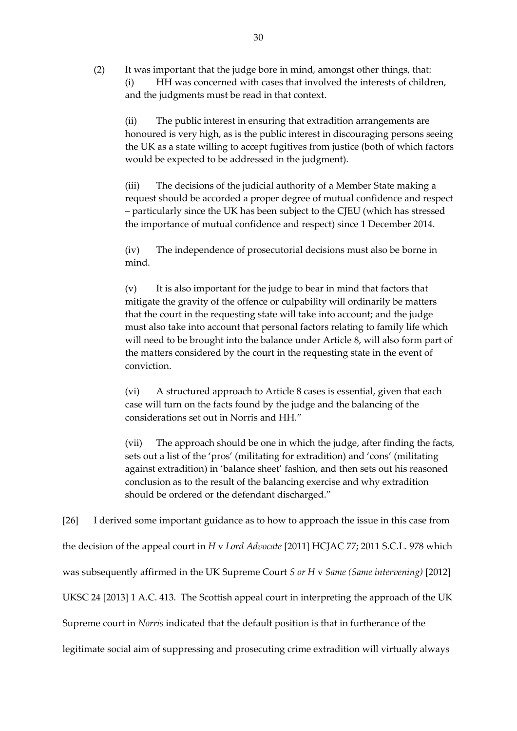(2) It was important that the judge bore in mind, amongst other things, that: (i) HH was concerned with cases that involved the interests of children, and the judgments must be read in that context.

(ii) The public interest in ensuring that extradition arrangements are honoured is very high, as is the public interest in discouraging persons seeing the UK as a state willing to accept fugitives from justice (both of which factors would be expected to be addressed in the judgment).

(iii) The decisions of the judicial authority of a Member State making a request should be accorded a proper degree of mutual confidence and respect – particularly since the UK has been subject to the CJEU (which has stressed the importance of mutual confidence and respect) since 1 December 2014.

(iv) The independence of prosecutorial decisions must also be borne in mind.

(v) It is also important for the judge to bear in mind that factors that mitigate the gravity of the offence or culpability will ordinarily be matters that the court in the requesting state will take into account; and the judge must also take into account that personal factors relating to family life which will need to be brought into the balance under Article 8, will also form part of the matters considered by the court in the requesting state in the event of conviction.

(vi) A structured approach to Article 8 cases is essential, given that each case will turn on the facts found by the judge and the balancing of the considerations set out in Norris and HH."

(vii) The approach should be one in which the judge, after finding the facts, sets out a list of the 'pros' (militating for extradition) and 'cons' (militating against extradition) in 'balance sheet' fashion, and then sets out his reasoned conclusion as to the result of the balancing exercise and why extradition should be ordered or the defendant discharged."

[26] I derived some important guidance as to how to approach the issue in this case from the decision of the appeal court in *H* v *Lord Advocate* [2011] HCJAC 77; 2011 S.C.L. 978 which was subsequently affirmed in the UK Supreme Court *S or H* v *Same (Same intervening)* [2012] UKSC 24 [2013] 1 A.C. 413. The Scottish appeal court in interpreting the approach of the UK Supreme court in *Norris* indicated that the default position is that in furtherance of the legitimate social aim of suppressing and prosecuting crime extradition will virtually always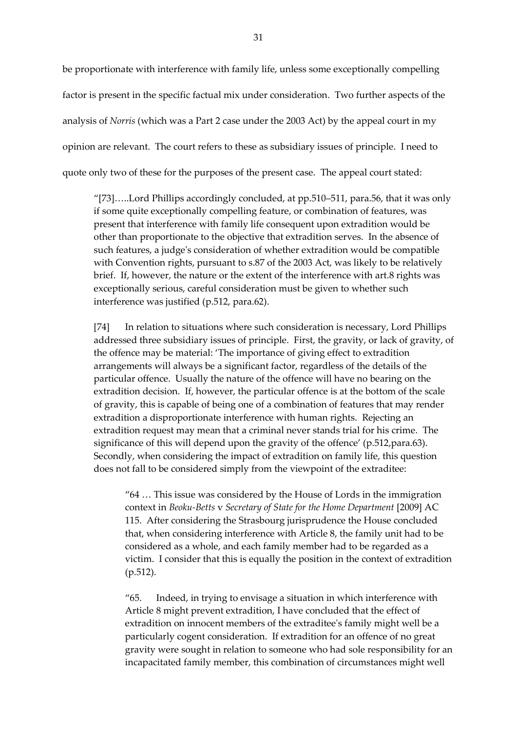be proportionate with interference with family life, unless some exceptionally compelling factor is present in the specific factual mix under consideration. Two further aspects of the analysis of *Norris* (which was a Part 2 case under the 2003 Act) by the appeal court in my opinion are relevant. The court refers to these as subsidiary issues of principle. I need to quote only two of these for the purposes of the present case. The appeal court stated:

"[73]…..Lord Phillips accordingly concluded, at pp.510–511, para.56, that it was only if some quite exceptionally compelling feature, or combination of features, was present that interference with family life consequent upon extradition would be other than proportionate to the objective that extradition serves. In the absence of such features, a judge's consideration of whether extradition would be compatible with Convention rights, pursuant to s.87 of the 2003 Act, was likely to be relatively brief. If, however, the nature or the extent of the interference with art.8 rights was exceptionally serious, careful consideration must be given to whether such interference was justified (p.512, para.62).

[74] In relation to situations where such consideration is necessary, Lord Phillips addressed three subsidiary issues of principle. First, the gravity, or lack of gravity, of the offence may be material: 'The importance of giving effect to extradition arrangements will always be a significant factor, regardless of the details of the particular offence. Usually the nature of the offence will have no bearing on the extradition decision. If, however, the particular offence is at the bottom of the scale of gravity, this is capable of being one of a combination of features that may render extradition a disproportionate interference with human rights. Rejecting an extradition request may mean that a criminal never stands trial for his crime. The significance of this will depend upon the gravity of the offence' (p.512,para.63). Secondly, when considering the impact of extradition on family life, this question does not fall to be considered simply from the viewpoint of the extraditee:

"64 … This issue was considered by the House of Lords in the immigration context in *Beoku-Betts* v *Secretary of State for the Home Department* [2009] AC 115. After considering the Strasbourg jurisprudence the House concluded that, when considering interference with Article 8, the family unit had to be considered as a whole, and each family member had to be regarded as a victim. I consider that this is equally the position in the context of extradition (p.512).

"65. Indeed, in trying to envisage a situation in which interference with Article 8 might prevent extradition, I have concluded that the effect of extradition on innocent members of the extraditee's family might well be a particularly cogent consideration. If extradition for an offence of no great gravity were sought in relation to someone who had sole responsibility for an incapacitated family member, this combination of circumstances might well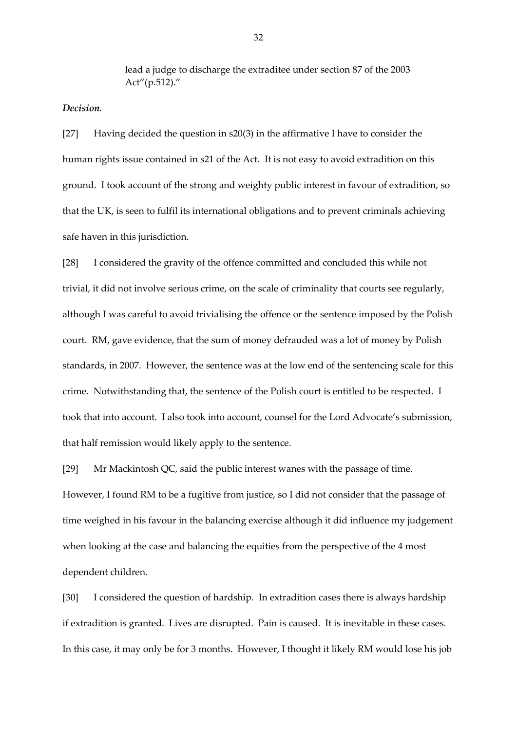lead a judge to discharge the extraditee under section 87 of the 2003 Act"(p.512)."

## *Decision.*

[27] Having decided the question in s20(3) in the affirmative I have to consider the human rights issue contained in s21 of the Act. It is not easy to avoid extradition on this ground. I took account of the strong and weighty public interest in favour of extradition, so that the UK, is seen to fulfil its international obligations and to prevent criminals achieving safe haven in this jurisdiction.

[28] I considered the gravity of the offence committed and concluded this while not trivial, it did not involve serious crime, on the scale of criminality that courts see regularly, although I was careful to avoid trivialising the offence or the sentence imposed by the Polish court. RM, gave evidence, that the sum of money defrauded was a lot of money by Polish standards, in 2007. However, the sentence was at the low end of the sentencing scale for this crime. Notwithstanding that, the sentence of the Polish court is entitled to be respected. I took that into account. I also took into account, counsel for the Lord Advocate's submission, that half remission would likely apply to the sentence.

[29] Mr Mackintosh QC, said the public interest wanes with the passage of time. However, I found RM to be a fugitive from justice, so I did not consider that the passage of time weighed in his favour in the balancing exercise although it did influence my judgement when looking at the case and balancing the equities from the perspective of the 4 most dependent children.

[30] I considered the question of hardship. In extradition cases there is always hardship if extradition is granted. Lives are disrupted. Pain is caused. It is inevitable in these cases. In this case, it may only be for 3 months. However, I thought it likely RM would lose his job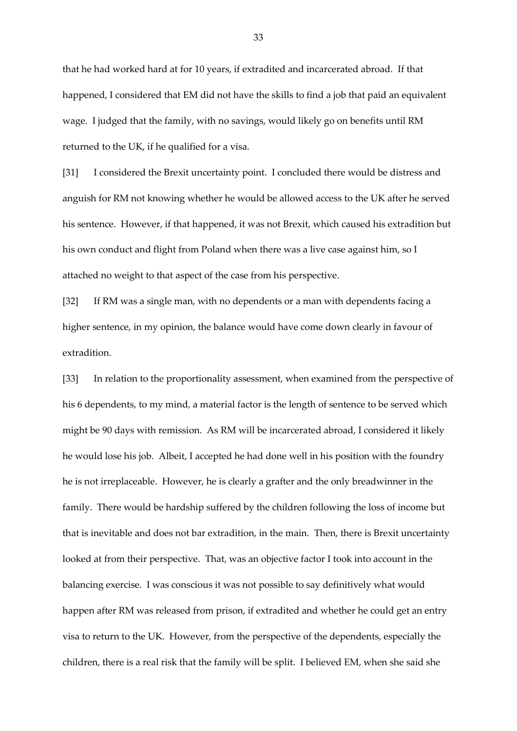that he had worked hard at for 10 years, if extradited and incarcerated abroad. If that happened, I considered that EM did not have the skills to find a job that paid an equivalent wage. I judged that the family, with no savings, would likely go on benefits until RM returned to the UK, if he qualified for a visa.

[31] I considered the Brexit uncertainty point. I concluded there would be distress and anguish for RM not knowing whether he would be allowed access to the UK after he served his sentence. However, if that happened, it was not Brexit, which caused his extradition but his own conduct and flight from Poland when there was a live case against him, so I attached no weight to that aspect of the case from his perspective.

[32] If RM was a single man, with no dependents or a man with dependents facing a higher sentence, in my opinion, the balance would have come down clearly in favour of extradition.

[33] In relation to the proportionality assessment, when examined from the perspective of his 6 dependents, to my mind, a material factor is the length of sentence to be served which might be 90 days with remission. As RM will be incarcerated abroad, I considered it likely he would lose his job. Albeit, I accepted he had done well in his position with the foundry he is not irreplaceable. However, he is clearly a grafter and the only breadwinner in the family. There would be hardship suffered by the children following the loss of income but that is inevitable and does not bar extradition, in the main. Then, there is Brexit uncertainty looked at from their perspective. That, was an objective factor I took into account in the balancing exercise. I was conscious it was not possible to say definitively what would happen after RM was released from prison, if extradited and whether he could get an entry visa to return to the UK. However, from the perspective of the dependents, especially the children, there is a real risk that the family will be split. I believed EM, when she said she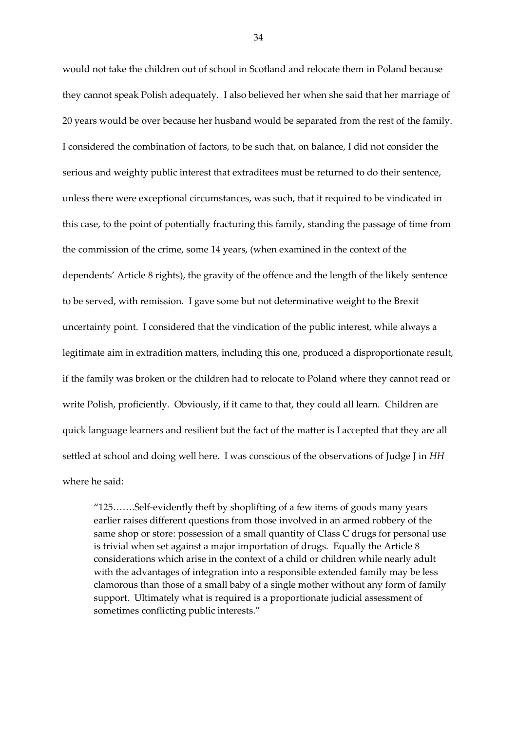would not take the children out of school in Scotland and relocate them in Poland because they cannot speak Polish adequately. I also believed her when she said that her marriage of 20 years would be over because her husband would be separated from the rest of the family. I considered the combination of factors, to be such that, on balance, I did not consider the serious and weighty public interest that extraditees must be returned to do their sentence, unless there were exceptional circumstances, was such, that it required to be vindicated in this case, to the point of potentially fracturing this family, standing the passage of time from the commission of the crime, some 14 years, (when examined in the context of the dependents' Article 8 rights), the gravity of the offence and the length of the likely sentence to be served, with remission. I gave some but not determinative weight to the Brexit uncertainty point. I considered that the vindication of the public interest, while always a legitimate aim in extradition matters, including this one, produced a disproportionate result, if the family was broken or the children had to relocate to Poland where they cannot read or write Polish, proficiently. Obviously, if it came to that, they could all learn. Children are quick language learners and resilient but the fact of the matter is I accepted that they are all settled at school and doing well here. I was conscious of the observations of Judge J in *HH* where he said:

"125…….Self-evidently theft by shoplifting of a few items of goods many years earlier raises different questions from those involved in an armed robbery of the same shop or store: possession of a small quantity of Class C drugs for personal use is trivial when set against a major importation of drugs. Equally the Article 8 considerations which arise in the context of a child or children while nearly adult with the advantages of integration into a responsible extended family may be less clamorous than those of a small baby of a single mother without any form of family support. Ultimately what is required is a proportionate judicial assessment of sometimes conflicting public interests."